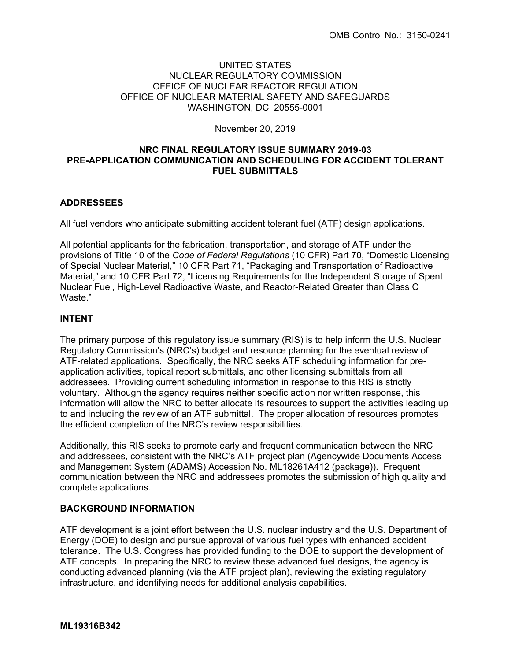### UNITED STATES NUCLEAR REGULATORY COMMISSION OFFICE OF NUCLEAR REACTOR REGULATION OFFICE OF NUCLEAR MATERIAL SAFETY AND SAFEGUARDS WASHINGTON, DC 20555-0001

November 20, 2019

#### **NRC FINAL REGULATORY ISSUE SUMMARY 2019-03 PRE-APPLICATION COMMUNICATION AND SCHEDULING FOR ACCIDENT TOLERANT FUEL SUBMITTALS**

# **ADDRESSEES**

All fuel vendors who anticipate submitting accident tolerant fuel (ATF) design applications.

All potential applicants for the fabrication, transportation, and storage of ATF under the provisions of Title 10 of the *Code of Federal Regulations* (10 CFR) Part 70, "Domestic Licensing of Special Nuclear Material," 10 CFR Part 71, "Packaging and Transportation of Radioactive Material," and 10 CFR Part 72, "Licensing Requirements for the Independent Storage of Spent Nuclear Fuel, High-Level Radioactive Waste, and Reactor-Related Greater than Class C Waste."

# **INTENT**

The primary purpose of this regulatory issue summary (RIS) is to help inform the U.S. Nuclear Regulatory Commission's (NRC's) budget and resource planning for the eventual review of ATF-related applications. Specifically, the NRC seeks ATF scheduling information for preapplication activities, topical report submittals, and other licensing submittals from all addressees. Providing current scheduling information in response to this RIS is strictly voluntary. Although the agency requires neither specific action nor written response, this information will allow the NRC to better allocate its resources to support the activities leading up to and including the review of an ATF submittal. The proper allocation of resources promotes the efficient completion of the NRC's review responsibilities.

Additionally, this RIS seeks to promote early and frequent communication between the NRC and addressees, consistent with the NRC's ATF project plan (Agencywide Documents Access and Management System (ADAMS) Accession No. ML18261A412 (package)). Frequent communication between the NRC and addressees promotes the submission of high quality and complete applications.

# **BACKGROUND INFORMATION**

ATF development is a joint effort between the U.S. nuclear industry and the U.S. Department of Energy (DOE) to design and pursue approval of various fuel types with enhanced accident tolerance. The U.S. Congress has provided funding to the DOE to support the development of ATF concepts. In preparing the NRC to review these advanced fuel designs, the agency is conducting advanced planning (via the ATF project plan), reviewing the existing regulatory infrastructure, and identifying needs for additional analysis capabilities.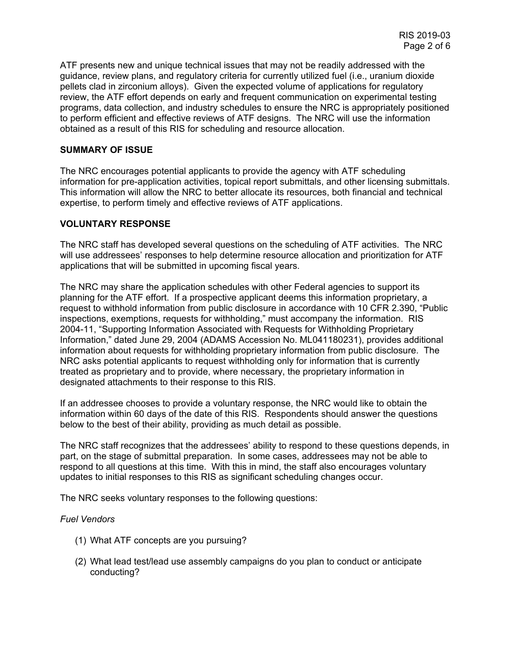ATF presents new and unique technical issues that may not be readily addressed with the guidance, review plans, and regulatory criteria for currently utilized fuel (i.e., uranium dioxide pellets clad in zirconium alloys). Given the expected volume of applications for regulatory review, the ATF effort depends on early and frequent communication on experimental testing programs, data collection, and industry schedules to ensure the NRC is appropriately positioned to perform efficient and effective reviews of ATF designs. The NRC will use the information obtained as a result of this RIS for scheduling and resource allocation.

### **SUMMARY OF ISSUE**

The NRC encourages potential applicants to provide the agency with ATF scheduling information for pre-application activities, topical report submittals, and other licensing submittals. This information will allow the NRC to better allocate its resources, both financial and technical expertise, to perform timely and effective reviews of ATF applications.

### **VOLUNTARY RESPONSE**

The NRC staff has developed several questions on the scheduling of ATF activities. The NRC will use addressees' responses to help determine resource allocation and prioritization for ATF applications that will be submitted in upcoming fiscal years.

The NRC may share the application schedules with other Federal agencies to support its planning for the ATF effort. If a prospective applicant deems this information proprietary, a request to withhold information from public disclosure in accordance with 10 CFR 2.390, "Public inspections, exemptions, requests for withholding," must accompany the information. RIS 2004-11, "Supporting Information Associated with Requests for Withholding Proprietary Information," dated June 29, 2004 (ADAMS Accession No. ML041180231), provides additional information about requests for withholding proprietary information from public disclosure. The NRC asks potential applicants to request withholding only for information that is currently treated as proprietary and to provide, where necessary, the proprietary information in designated attachments to their response to this RIS.

If an addressee chooses to provide a voluntary response, the NRC would like to obtain the information within 60 days of the date of this RIS. Respondents should answer the questions below to the best of their ability, providing as much detail as possible.

The NRC staff recognizes that the addressees' ability to respond to these questions depends, in part, on the stage of submittal preparation. In some cases, addressees may not be able to respond to all questions at this time. With this in mind, the staff also encourages voluntary updates to initial responses to this RIS as significant scheduling changes occur.

The NRC seeks voluntary responses to the following questions:

#### *Fuel Vendors*

- (1) What ATF concepts are you pursuing?
- (2) What lead test/lead use assembly campaigns do you plan to conduct or anticipate conducting?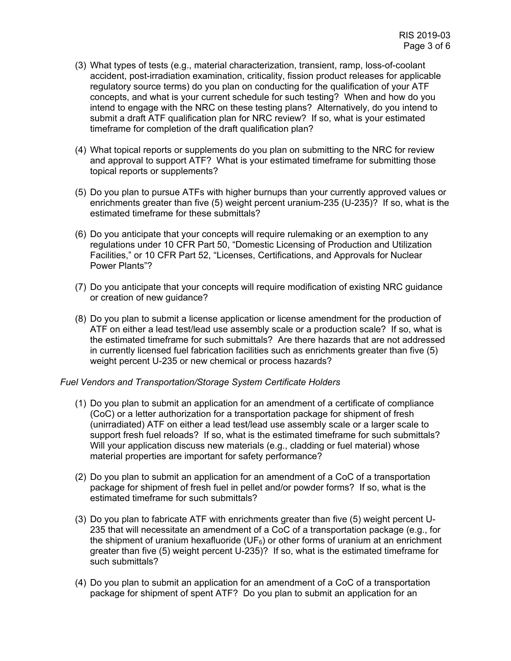- (3) What types of tests (e.g., material characterization, transient, ramp, loss-of-coolant accident, post-irradiation examination, criticality, fission product releases for applicable regulatory source terms) do you plan on conducting for the qualification of your ATF concepts, and what is your current schedule for such testing? When and how do you intend to engage with the NRC on these testing plans? Alternatively, do you intend to submit a draft ATF qualification plan for NRC review? If so, what is your estimated timeframe for completion of the draft qualification plan?
- (4) What topical reports or supplements do you plan on submitting to the NRC for review and approval to support ATF? What is your estimated timeframe for submitting those topical reports or supplements?
- (5) Do you plan to pursue ATFs with higher burnups than your currently approved values or enrichments greater than five (5) weight percent uranium-235 (U-235)? If so, what is the estimated timeframe for these submittals?
- (6) Do you anticipate that your concepts will require rulemaking or an exemption to any regulations under 10 CFR Part 50, "Domestic Licensing of Production and Utilization Facilities," or 10 CFR Part 52, "Licenses, Certifications, and Approvals for Nuclear Power Plants"?
- (7) Do you anticipate that your concepts will require modification of existing NRC guidance or creation of new guidance?
- (8) Do you plan to submit a license application or license amendment for the production of ATF on either a lead test/lead use assembly scale or a production scale? If so, what is the estimated timeframe for such submittals? Are there hazards that are not addressed in currently licensed fuel fabrication facilities such as enrichments greater than five (5) weight percent U-235 or new chemical or process hazards?

#### *Fuel Vendors and Transportation/Storage System Certificate Holders*

- (1) Do you plan to submit an application for an amendment of a certificate of compliance (CoC) or a letter authorization for a transportation package for shipment of fresh (unirradiated) ATF on either a lead test/lead use assembly scale or a larger scale to support fresh fuel reloads? If so, what is the estimated timeframe for such submittals? Will your application discuss new materials (e.g., cladding or fuel material) whose material properties are important for safety performance?
- (2) Do you plan to submit an application for an amendment of a CoC of a transportation package for shipment of fresh fuel in pellet and/or powder forms? If so, what is the estimated timeframe for such submittals?
- (3) Do you plan to fabricate ATF with enrichments greater than five (5) weight percent U-235 that will necessitate an amendment of a CoC of a transportation package (e.g., for the shipment of uranium hexafluoride (UF $_6$ ) or other forms of uranium at an enrichment greater than five (5) weight percent U-235)? If so, what is the estimated timeframe for such submittals?
- (4) Do you plan to submit an application for an amendment of a CoC of a transportation package for shipment of spent ATF? Do you plan to submit an application for an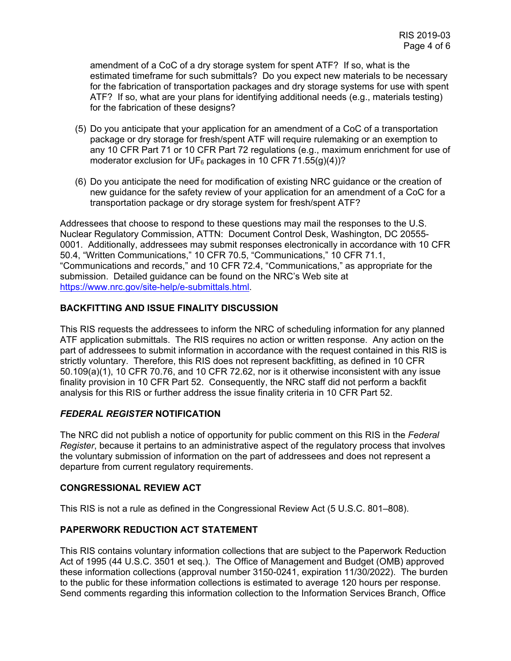amendment of a CoC of a dry storage system for spent ATF? If so, what is the estimated timeframe for such submittals? Do you expect new materials to be necessary for the fabrication of transportation packages and dry storage systems for use with spent ATF? If so, what are your plans for identifying additional needs (e.g., materials testing) for the fabrication of these designs?

- (5) Do you anticipate that your application for an amendment of a CoC of a transportation package or dry storage for fresh/spent ATF will require rulemaking or an exemption to any 10 CFR Part 71 or 10 CFR Part 72 regulations (e.g., maximum enrichment for use of moderator exclusion for UF<sub>6</sub> packages in 10 CFR 71.55(g)(4))?
- (6) Do you anticipate the need for modification of existing NRC guidance or the creation of new guidance for the safety review of your application for an amendment of a CoC for a transportation package or dry storage system for fresh/spent ATF?

Addressees that choose to respond to these questions may mail the responses to the U.S. Nuclear Regulatory Commission, ATTN: Document Control Desk, Washington, DC 20555- 0001. Additionally, addressees may submit responses electronically in accordance with 10 CFR 50.4, "Written Communications," 10 CFR 70.5, "Communications," 10 CFR 71.1, "Communications and records," and 10 CFR 72.4, "Communications," as appropriate for the submission. Detailed guidance can be found on the NRC's Web site at https://www.nrc.gov/site-help/e-submittals.html.

# **BACKFITTING AND ISSUE FINALITY DISCUSSION**

This RIS requests the addressees to inform the NRC of scheduling information for any planned ATF application submittals. The RIS requires no action or written response. Any action on the part of addressees to submit information in accordance with the request contained in this RIS is strictly voluntary. Therefore, this RIS does not represent backfitting, as defined in 10 CFR 50.109(a)(1), 10 CFR 70.76, and 10 CFR 72.62, nor is it otherwise inconsistent with any issue finality provision in 10 CFR Part 52. Consequently, the NRC staff did not perform a backfit analysis for this RIS or further address the issue finality criteria in 10 CFR Part 52.

#### *FEDERAL REGISTER* **NOTIFICATION**

The NRC did not publish a notice of opportunity for public comment on this RIS in the *Federal Register*, because it pertains to an administrative aspect of the regulatory process that involves the voluntary submission of information on the part of addressees and does not represent a departure from current regulatory requirements.

#### **CONGRESSIONAL REVIEW ACT**

This RIS is not a rule as defined in the Congressional Review Act (5 U.S.C. 801–808).

# **PAPERWORK REDUCTION ACT STATEMENT**

This RIS contains voluntary information collections that are subject to the Paperwork Reduction Act of 1995 (44 U.S.C. 3501 et seq.). The Office of Management and Budget (OMB) approved these information collections (approval number 3150-0241, expiration 11/30/2022). The burden to the public for these information collections is estimated to average 120 hours per response. Send comments regarding this information collection to the Information Services Branch, Office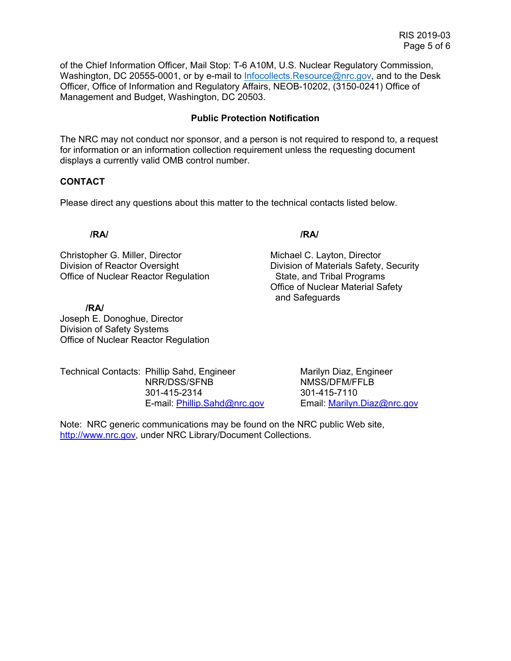of the Chief Information Officer, Mail Stop: T-6 A10M, U.S. Nuclear Regulatory Commission, Washington, DC 20555-0001, or by e-mail to Infocollects.Resource@nrc.gov, and to the Desk Officer, Office of Information and Regulatory Affairs, NEOB-10202, (3150-0241) Office of Management and Budget, Washington, DC 20503.

## **Public Protection Notification**

The NRC may not conduct nor sponsor, and a person is not required to respond to, a request for information or an information collection requirement unless the requesting document displays a currently valid OMB control number.

### **CONTACT**

Please direct any questions about this matter to the technical contacts listed below.

### **/RA/ /RA/**

Christopher G. Miller, Director **Michael C. Layton, Director** Michael C. Layton, Director Division of Reactor Oversight Division of Materials Safety, Security Office of Nuclear Reactor Regulation State, and Tribal Programs

 **/RA/**  Joseph E. Donoghue, Director Division of Safety Systems Office of Nuclear Reactor Regulation

Technical Contacts: Phillip Sahd, Engineer Marilyn Diaz, Engineer NRR/DSS/SFNB NMSS/DFM/FFLB 301-415-2314 301-415-7110 E-mail: Phillip.Sahd@nrc.gov Email: Marilyn.Diaz@nrc.gov

Note: NRC generic communications may be found on the NRC public Web site, http://www.nrc.gov, under NRC Library/Document Collections.

Office of Nuclear Material Safety and Safeguards